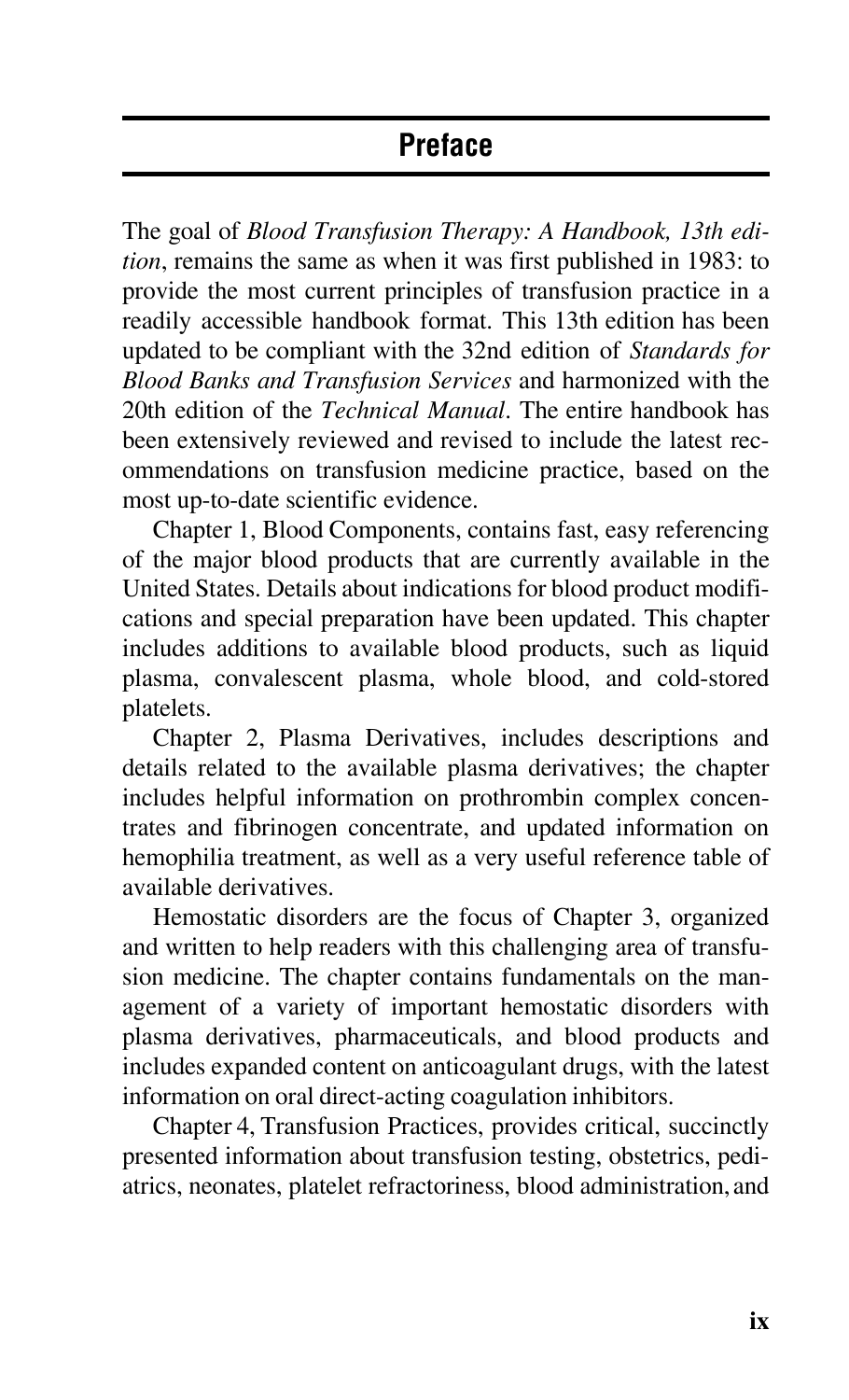## **Preface**

The goal of *Blood Transfusion Therapy: A Handbook, 13th edition*, remains the same as when it was first published in 1983: to provide the most current principles of transfusion practice in a readily accessible handbook format. This 13th edition has been updated to be compliant with the 32nd edition of *Standards for Blood Banks and Transfusion Services* and harmonized with the 20th edition of the *Technical Manual*. The entire handbook has been extensively reviewed and revised to include the latest recommendations on transfusion medicine practice, based on the most up-to-date scientific evidence.

Chapter 1, Blood Components, contains fast, easy referencing of the major blood products that are currently available in the United States. Details about indications for blood product modifications and special preparation have been updated. This chapter includes additions to available blood products, such as liquid plasma, convalescent plasma, whole blood, and cold-stored platelets.

Chapter 2, Plasma Derivatives, includes descriptions and details related to the available plasma derivatives; the chapter includes helpful information on prothrombin complex concentrates and fibrinogen concentrate, and updated information on hemophilia treatment, as well as a very useful reference table of available derivatives.

Hemostatic disorders are the focus of Chapter 3, organized and written to help readers with this challenging area of transfusion medicine. The chapter contains fundamentals on the management of a variety of important hemostatic disorders with plasma derivatives, pharmaceuticals, and blood products and includes expanded content on anticoagulant drugs, with the latest information on oral direct-acting coagulation inhibitors.

Chapter 4, Transfusion Practices, provides critical, succinctly presented information about transfusion testing, obstetrics, pediatrics, neonates, platelet refractoriness, blood administration, and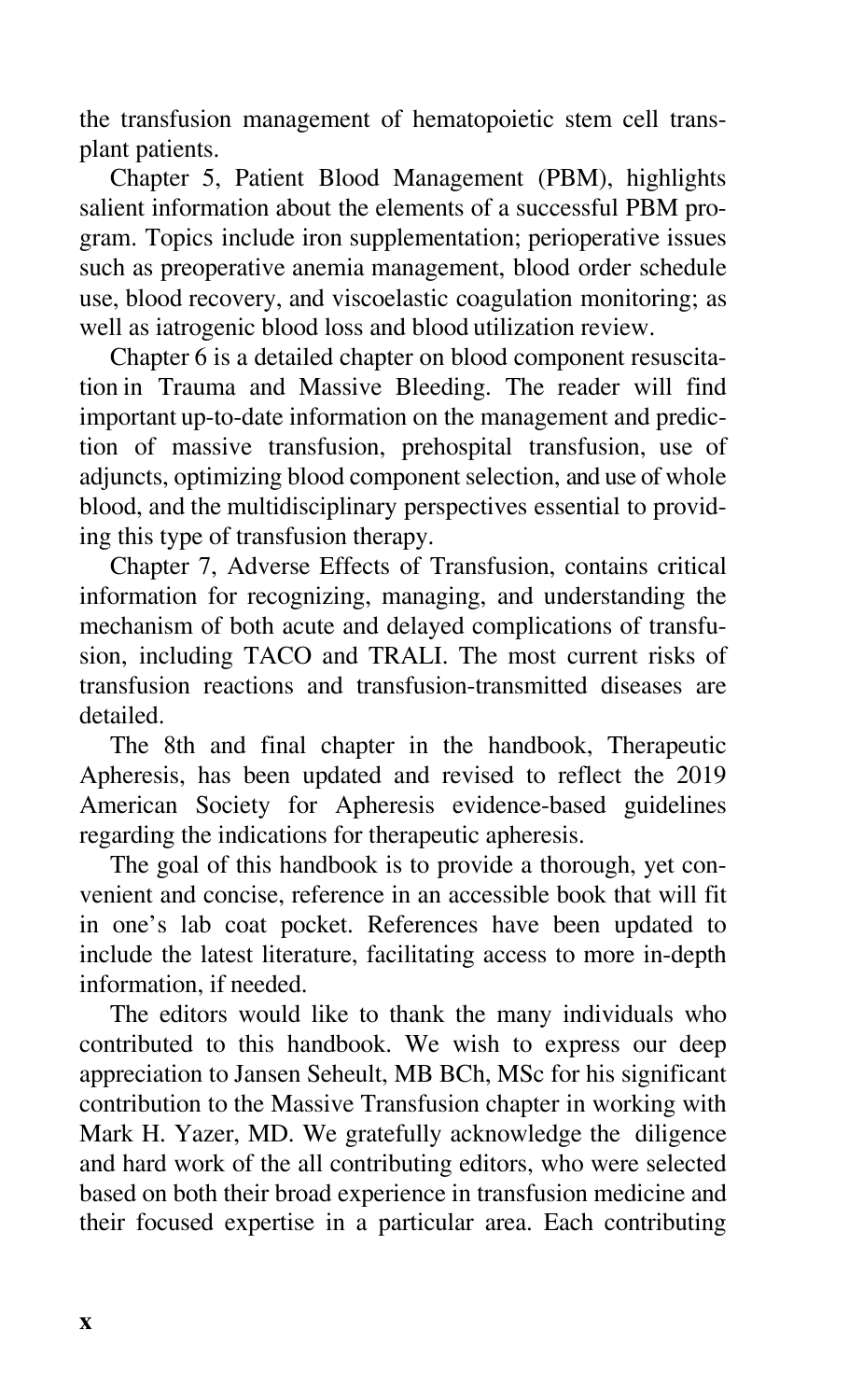the transfusion management of hematopoietic stem cell transplant patients.

Chapter 5, Patient Blood Management (PBM), highlights salient information about the elements of a successful PBM program. Topics include iron supplementation; perioperative issues such as preoperative anemia management, blood order schedule use, blood recovery, and viscoelastic coagulation monitoring; as well as iatrogenic blood loss and blood utilization review.

Chapter 6 is a detailed chapter on blood component resuscitation in Trauma and Massive Bleeding. The reader will find important up-to-date information on the management and prediction of massive transfusion, prehospital transfusion, use of adjuncts, optimizing blood component selection, and use of whole blood, and the multidisciplinary perspectives essential to providing this type of transfusion therapy.

Chapter 7, Adverse Effects of Transfusion, contains critical information for recognizing, managing, and understanding the mechanism of both acute and delayed complications of transfusion, including TACO and TRALI. The most current risks of transfusion reactions and transfusion-transmitted diseases are detailed.

The 8th and final chapter in the handbook, Therapeutic Apheresis, has been updated and revised to reflect the 2019 American Society for Apheresis evidence-based guidelines regarding the indications for therapeutic apheresis.

The goal of this handbook is to provide a thorough, yet convenient and concise, reference in an accessible book that will fit in one's lab coat pocket. References have been updated to include the latest literature, facilitating access to more in-depth information, if needed.

The editors would like to thank the many individuals who contributed to this handbook. We wish to express our deep appreciation to Jansen Seheult, MB BCh, MSc for his significant contribution to the Massive Transfusion chapter in working with Mark H. Yazer, MD. We gratefully acknowledge the diligence and hard work of the all contributing editors, who were selected based on both their broad experience in transfusion medicine and their focused expertise in a particular area. Each contributing